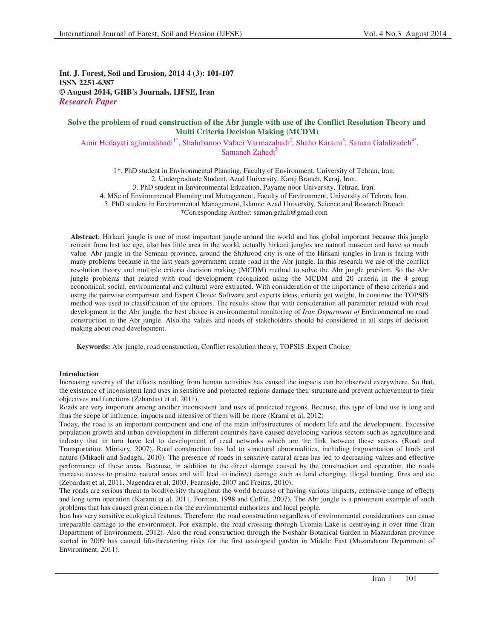**Int. J. Forest, Soil and Erosion, 2014 4 (3): 101-107 ISSN 2251-6387 © August 2014, GHB's Journals, IJFSE, Iran** *Research Paper*

# **Solve the problem of road construction of the Abr jungle with use of the Conflict Resolution Theory and Multi Criteria Decision Making (MCDM)**

Amir Hedayati aghmashhadi<sup>1\*</sup>, Shahrbanoo Vafaei Varmazabadi<sup>2</sup>, Shaho Karami<sup>3</sup>, Saman Galalizadeh<sup>4\*</sup>, Samaneh Zahedi<sup>5</sup>

1\*. PhD student in Environmental Planning, Faculty of Environment, University of Tehran, Iran. 2. Undergraduate Student, Azad University, Karaj Branch, Karaj, Iran. 3. PhD student in Environmental Education, Payame noor University, Tehran, Iran. 4. MSc of Environmental Planning and Management, Faculty of Environment, University of Tehran, Iran. 5. PhD student in Environmental Management, Islamic Azad University, Science and Research Branch \*Corresponding Author: saman.galali@gmail.com

**Abstract**: Hirkani jungle is one of most important jungle around the world and has global important because this jungle remain from last ice age, also has little area in the world, actually hirkani jungles are natural museum and have so much value. Abr jungle in the Semnan province, around the Shahrood city is one of the Hirkani jungles in Iran is facing with many problems because in the last years government create road in the Abr jungle. In this research we use of the conflict resolution theory and multiple criteria decision making (MCDM) method to solve the Abr jungle problem. So the Abr jungle problems that related with road development recognized using the MCDM and 20 criteria in the 4 group economical, social, environmental and cultural were extracted. With consideration of the importance of these criteria's and using the pairwise comparison and Expert Choice Software and experts ideas, criteria get weight. In continue the TOPSIS method was used to classification of the options. The results show that with consideration all parameter related with road development in the Abr jungle, the best choice is environmental monitoring of *Iran Department of* Environmental on road construction in the Abr jungle. Also the values and needs of stakeholders should be considered in all steps of decision making about road development.

Keywords: Abr jungle, road construction, Conflict resolution theory, TOPSIS Expert Choice.

### **Introduction**

Increasing severity of the effects resulting from human activities has caused the impacts can be observed everywhere. So that, the existence of inconsistent land uses in sensitive and protected regions damage their structure and prevent achievement to their objectives and functions (Zebardast et al, 2011).

Roads are very important among another inconsistent land uses of protected regions. Because, this type of land use is long and thus the scope of influence, impacts and intensive of them will be more (Krami et al, 2012)

Today, the road is an important component and one of the main infrastructures of modern life and the development. Excessive population growth and urban development in different countries have caused developing various sectors such as agriculture and industry that in turn have led to development of read networks which are the link between these sectors (Road and Transportation Ministry, 2007). Road construction has led to structural abnormalities, including fragmentation of lands and nature (Mikaeli and Sadeghi, 2010). The presence of roads in sensitive natural areas has led to decreasing values and effective performance of these areas. Because, in addition to the direct damage caused by the construction and operation, the roads increase access to pristine natural areas and will lead to indirect damage such as land changing, illegal hunting, fires and etc (Zebardast et al, 2011, Nagendra et al, 2003, Fearnside, 2007 and Freitas, 2010).

The roads are serious threat to biodiversity throughout the world because of having various impacts, extensive range of effects and long term operation (Karami et al, 2011, Forman, 1998 and Coffin, 2007). The Abr jungle is a prominent example of such problems that has caused great concern for the environmental authorizes and local people.

Iran has very sensitive ecological features. Therefore, the road construction regardless of environmental considerations can cause irreparable damage to the environment. For example, the road crossing through Uromia Lake is destroying it over time (Iran Department of Environment, 2012). Also the road construction through the Noshahr Botanical Garden in Mazandaran province started in 2009 has caused life-threatening risks for the first ecological garden in Middle East (Mazandaran Department of Environment, 2011).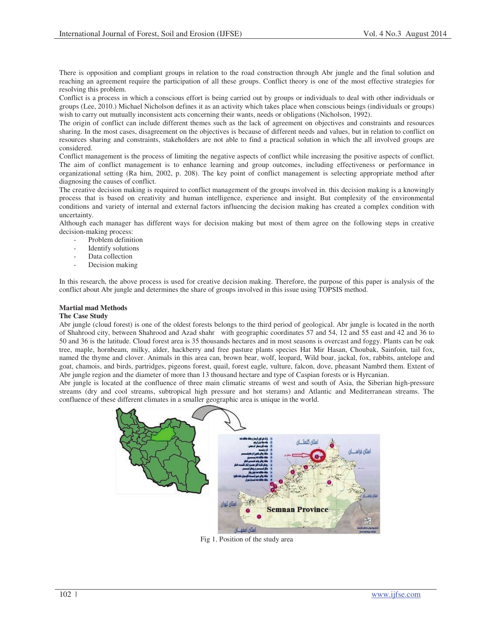There is opposition and compliant groups in relation to the road construction through Abr jungle and the final solution and reaching an agreement require the participation of all these groups. Conflict theory is one of the most effective strategies for resolving this problem.

Conflict is a process in which a conscious effort is being carried out by groups or individuals to deal with other individuals or groups (Lee, 2010.) Michael Nicholson defines it as an activity which takes place when conscious beings (individuals or groups) wish to carry out mutually inconsistent acts concerning their wants, needs or obligations (Nicholson, 1992).

The origin of conflict can include different themes such as the lack of agreement on objectives and constraints and resources sharing. In the most cases, disagreement on the objectives is because of different needs and values, but in relation to conflict on resources sharing and constraints, stakeholders are not able to find a practical solution in which the all involved groups are considered.

Conflict management is the process of limiting the negative aspects of conflict while increasing the positive aspects of conflict. The aim of conflict management is to enhance learning and group outcomes, including effectiveness or performance in organizational setting (Ra him, 2002, p. 208). The key point of conflict management is selecting appropriate method after diagnosing the causes of conflict.

The creative decision making is required to conflict management of the groups involved in. this decision making is a knowingly process that is based on creativity and human intelligence, experience and insight. But complexity of the environmental conditions and variety of internal and external factors influencing the decision making has created a complex condition with uncertainty.

Although each manager has different ways for decision making but most of them agree on the following steps in creative decision-making process:

- Problem definition
- Identify solutions
- Data collection
- Decision making

In this research, the above process is used for creative decision making. Therefore, the purpose of this paper is analysis of the conflict about Abr jungle and determines the share of groups involved in this issue using TOPSIS method.

# **Martial mad Methods**

# **The Case Study**

Abr jungle (cloud forest) is one of the oldest forests belongs to the third period of geological. Abr jungle is located in the north of Shahrood city, between Shahrood and Azad shahr with geographic coordinates 57 and 54, 12 and 55 east and 42 and 36 to 50 and 36 is the latitude. Cloud forest area is 35 thousands hectares and in most seasons is overcast and foggy. Plants can be oak tree, maple, hornbeam, milky, alder, hackberry and free pasture plants species Hat Mir Hasan, Choubak, Sainfoin, tail fox, named the thyme and clover. Animals in this area can, brown bear, wolf, leopard, Wild boar, jackal, fox, rabbits, antelope and goat, chamois, and birds, partridges, pigeons forest, quail, forest eagle, vulture, falcon, dove, pheasant Nambrd them. Extent of Abr jungle region and the diameter of more than 13 thousand hectare and type of Caspian forests or is Hyrcanian.

Abr jungle is located at the confluence of three main climatic streams of west and south of Asia, the Siberian high-pressure streams (dry and cool streams, subtropical high pressure and hot sterams) and Atlantic and Mediterranean streams. The confluence of these different climates in a smaller geographic area is unique in the world.



Fig 1. Position of the study area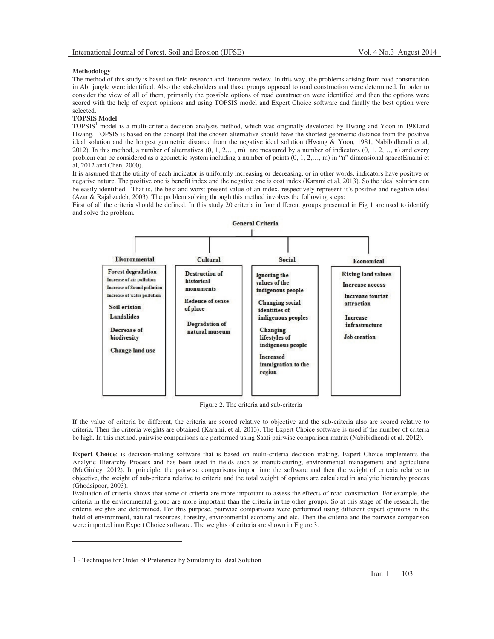### **Methodology**

The method of this study is based on field research and literature review. In this way, the problems arising from road construction in Abr jungle were identified. Also the stakeholders and those groups opposed to road construction were determined. In order to consider the view of all of them, primarily the possible options of road construction were identified and then the options were scored with the help of expert opinions and using TOPSIS model and Expert Choice software and finally the best option were selected.

### **TOPSIS Model**

TOPSIS<sup>1</sup> model is a multi-criteria decision analysis method, which was originally developed by Hwang and Yoon in 1981and Hwang. TOPSIS is based on the concept that the chosen alternative should have the shortest geometric distance from the positive ideal solution and the longest geometric distance from the negative ideal solution (Hwang & Yoon, 1981, Nabibidhendi et al, 2012). In this method, a number of alternatives  $(0, 1, 2, \ldots, m)$  are measured by a number of indicators  $(0, 1, 2, \ldots, n)$  and every problem can be considered as a geometric system including a number of points (0, 1, 2,…, m) in "n" dimensional space(Emami et al, 2012 and Chen, 2000).

It is assumed that the utility of each indicator is uniformly increasing or decreasing, or in other words, indicators have positive or negative nature. The positive one is benefit index and the negative one is cost index (Karami et al, 2013). So the ideal solution can be easily identified. That is, the best and worst present value of an index, respectively represent it's positive and negative ideal (Azar & Rajabzadeh, 2003). The problem solving through this method involves the following steps:

First of all the criteria should be defined. In this study 20 criteria in four different groups presented in Fig 1 are used to identify and solve the problem.



Figure 2. The criteria and sub-criteria

If the value of criteria be different, the criteria are scored relative to objective and the sub-criteria also are scored relative to criteria. Then the criteria weights are obtained (Karami, et al, 2013). The Expert Choice software is used if the number of criteria be high. In this method, pairwise comparisons are performed using Saati pairwise comparison matrix (Nabibidhendi et al, 2012).

Expert Choice: is decision-making software that is based on multi-criteria decision making. Expert Choice implements the Analytic Hierarchy Process and has been used in fields such as manufacturing, environmental management and agriculture (McGinley, 2012). In principle, the pairwise comparisons import into the software and then the weight of criteria relative to objective, the weight of sub-criteria relative to criteria and the total weight of options are calculated in analytic hierarchy process (Ghodsipoor, 2003).

Evaluation of criteria shows that some of criteria are more important to assess the effects of road construction. For example, the criteria in the environmental group are more important than the criteria in the other groups. So at this stage of the research, the criteria weights are determined. For this purpose, pairwise comparisons were performed using different expert opinions in the field of environment, natural resources, forestry, environmental economy and etc. Then the criteria and the pairwise comparison were imported into Expert Choice software. The weights of criteria are shown in Figure 3.

-

<sup>1</sup> Technique for Order of Preference by Similarity to Ideal Solution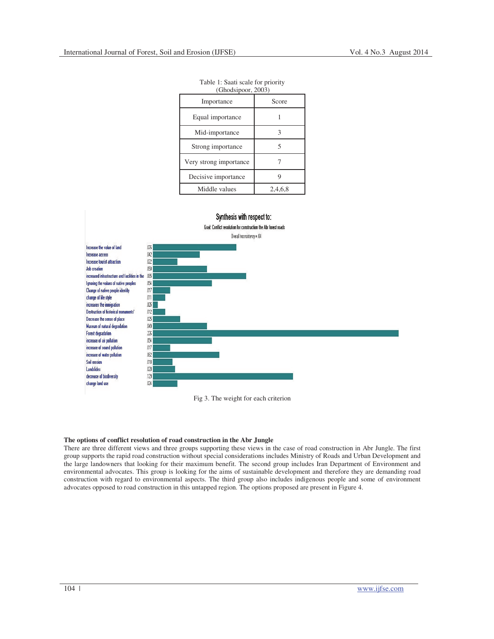| $($ Ollousipool, $200J$ |         |  |  |  |  |  |  |
|-------------------------|---------|--|--|--|--|--|--|
| Importance              | Score   |  |  |  |  |  |  |
| Equal importance        |         |  |  |  |  |  |  |
| Mid-importance          |         |  |  |  |  |  |  |
| Strong importance       | 5       |  |  |  |  |  |  |
| Very strong importance  |         |  |  |  |  |  |  |
| Decisive importance     |         |  |  |  |  |  |  |
| Middle values           | 2.4.6.8 |  |  |  |  |  |  |

Table 1: Saati scale for priority<br>
(Ghodsineer, 2003)  $(Chodoin)$ 



Fig 3. The weight for each criterion

#### **The options of conflict resolution of road construction in the Abr Jungle**

There are three different views and three groups supporting these views in the case of road construction in Abr Jungle. The first group supports the rapid road construction without special considerations includes Ministry of Roads and Urban Development and the large landowners that looking for their maximum benefit. The second group includes Iran Department of Environment and environmental advocates. This group is looking for the aims of sustainable development and therefore they are demanding road construction with regard to environmental aspects. The third group also includes indigenous people and some of environment advocates opposed to road construction in this untapped region. The options proposed are present in Figure 4.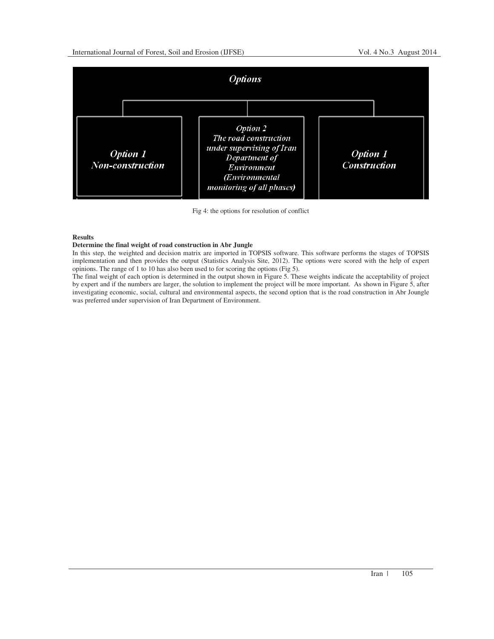

Fig 4: the options for resolution of conflict

# **Results**

# **Determine the final weight of road construction in Abr Jungle**

In this step, the weighted and decision matrix are imported in TOPSIS software. This software performs the stages of TOPSIS implementation and then provides the output (Statistics Analysis Site, 2012). The options were scored with the help of expert opinions. The range of 1 to 10 has also been used to for scoring the options (Fig 5).

The final weight of each option is determined in the output shown in Figure 5. These weights indicate the acceptability of project by expert and if the numbers are larger, the solution to implement the project will be more important. As shown in Figure 5, after investigating economic, social, cultural and environmental aspects, the second option that is the road construction in Abr Joungle was preferred under supervision of Iran Department of Environment.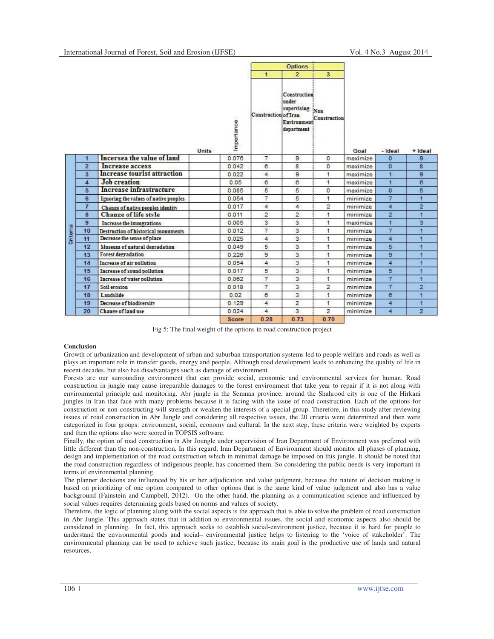|                 |                      |                                       |       |                   | <b>Options</b>       |                                                                       |                         |          |                |                |
|-----------------|----------------------|---------------------------------------|-------|-------------------|----------------------|-----------------------------------------------------------------------|-------------------------|----------|----------------|----------------|
|                 |                      |                                       |       |                   | $\mathbf{1}$         | $\overline{2}$                                                        | $\overline{\mathbf{3}}$ |          |                |                |
|                 |                      |                                       | Units | 98.<br>Importance | Construction of Iran | Construction<br>under<br>supervising Non<br>Environment<br>department | Construction            | Goal     | - Ideal        | + Ideal        |
|                 | $\blacktriangleleft$ | Incersea the value of land            |       | 0.076             | $\overline{7}$       | 9                                                                     | $\mathbf{0}$            | maximize | $\sigma$       | 9              |
|                 | $\overline{2}$       | Increase access                       |       | 0.042             | 6                    | 8                                                                     | $\circ$                 | maximize | $\Omega$       | 8              |
|                 | 3                    | <b>Increase tourist attraction</b>    |       | 0.022             | 4                    | $\overline{9}$                                                        | 1                       | maximize | $\mathbf{I}$   | 9              |
|                 | 4                    | <b>Job</b> creation                   |       | 0.05              | 6                    | 6                                                                     | 1                       | maximize | $\mathbf{1}$   | $\epsilon$     |
|                 | 5                    | Increase infrastracture               |       | 0.085             | 5                    | 5                                                                     | $\Omega$                | maximize | $\Omega$       | 5              |
|                 | 6                    | Ignoring the values of native peoples |       | 0.054             | $\overline{7}$       | 5                                                                     | 1                       | minimize | $\overline{7}$ | ٦              |
|                 | $\overline{7}$       | Change of native peoples identity     |       | 0.017             | 4                    | $\overline{4}$                                                        | $\overline{2}$          | minimize | 4              | $\overline{2}$ |
|                 | 8                    | Change of life style                  |       | 0.011             | $\overline{2}$       | $\overline{2}$                                                        | 1                       | minimize | $\overline{2}$ | 1              |
|                 | $\overline{9}$       | <b>Increase the immgrations</b>       |       | 0.005             | 3                    | 3                                                                     | 1                       | maximize | 1              | 3.             |
| <b>Criteria</b> | 10                   | Destruction of historical monuments   |       | 0.012             | $\overline{7}$       | 3                                                                     | 1                       | minimize | $\overline{7}$ | 1              |
|                 | 11                   | Decrease the sense of place           |       | 0.025             | $\overline{4}$       | $\overline{3}$                                                        | 1                       | minimize | 4              | 1              |
|                 | 12                   | Museum of natural degradation         |       | 0.049             | 5                    | 3                                                                     | 1                       | minimize | 5              | 1              |
|                 | 13                   | <b>Forest degradation</b>             |       | 0.228             | 9                    | 3                                                                     | $\overline{1}$          | minimize | 9              | 1              |
|                 | 14                   | Increase of air pollution             |       | 0.054             | 4                    | 3                                                                     | 1                       | minimize | 4              | 1              |
|                 | 15                   | Increase of sound pollution           |       | 0.017             | 5                    | $\overline{3}$                                                        | 1                       | minimize | 5              | 1              |
|                 | 16                   | Increase of water pollution           |       | 0.062             | $\overline{7}$       | 3                                                                     | $\mathbf{1}$            | minimize | $\overline{7}$ | $\overline{1}$ |
|                 | 17                   | Soil erosion                          |       | 0.018             | $\overline{7}$       | 3                                                                     | $\overline{2}$          | minimize | $\overline{7}$ | 2              |
|                 | 18                   | Landslide                             |       | 0.02              | 6                    | 3                                                                     | 1                       | minimize | 6              | 4              |
|                 | 19                   | Decrease of biodiversity              |       | 0.129             | 4                    | $\overline{2}$                                                        | 1                       | minimize | 4              | 4              |
|                 | 20                   | Change of land use                    |       | 0.024             | 4                    | 3                                                                     | $\overline{2}$          | minimize | 4              | $\overline{2}$ |
|                 |                      |                                       |       | Score             | 0.28                 | 0.73                                                                  | 070                     |          |                |                |

Fig 5: The final weight of the options in road construction project

#### **Conclusion**

Growth of urbanization and development of urban and suburban transportation systems led to people welfare and roads as well as plays an important role in transfer goods, energy and people. Although road development leads to enhancing the quality of life in recent decades, but also has disadvantages such as damage of environment.

Forests are our surrounding environment that can provide social, economic and environmental services for human. Road construction in jungle may cause irreparable damages to the forest environment that take year to repair if it is not along with environmental principle and monitoring. Abr jungle in the Semnan province, around the Shahrood city is one of the Hirkani jungles in Iran that face with many problems because it is facing with the issue of road construction. Each of the options for construction or non-constructing will strength or weaken the interests of a special group. Therefore, in this study after reviewing issues of road construction in Abr Jungle and considering all respective issues, the 20 criteria were determined and then were categorized in four groups: environment, social, economy and cultural. In the next step, these criteria were weighted by experts and then the options also were scored in TOPSIS software.

Finally, the option of road construction in Abr Joungle under supervision of Iran Department of Environment was preferred with little different than the non-construction. In this regard, Iran Department of Environment should monitor all phases of planning, design and implementation of the road construction which in minimal damage be imposed on this jungle. It should be noted that the road construction regardless of indigenous people, has concerned them. So considering the public needs is very important in terms of environmental planning.

The planner decisions are influenced by his or her adjudication and value judgment, because the nature of decision making is based on prioritizing of one option compared to other options that is the same kind of value judgment and also has a value background (Fainstein and Campbell, 2012). On the other hand, the planning as a communication science and influenced by social values requires determining goals based on norms and values of society.

Therefore, the logic of planning along with the social aspects is the approach that is able to solve the problem of road construction in Abr Jungle. This approach states that in addition to environmental issues, the social and economic aspects also should be considered in planning. In fact, this approach seeks to establish social-environment justice, because it is hard for people to understand the environmental goods and social– environmental justice helps to listening to the 'voice of stakeholder'. The environmental planning can be used to achieve such justice, because its main goal is the productive use of lands and natural resources.